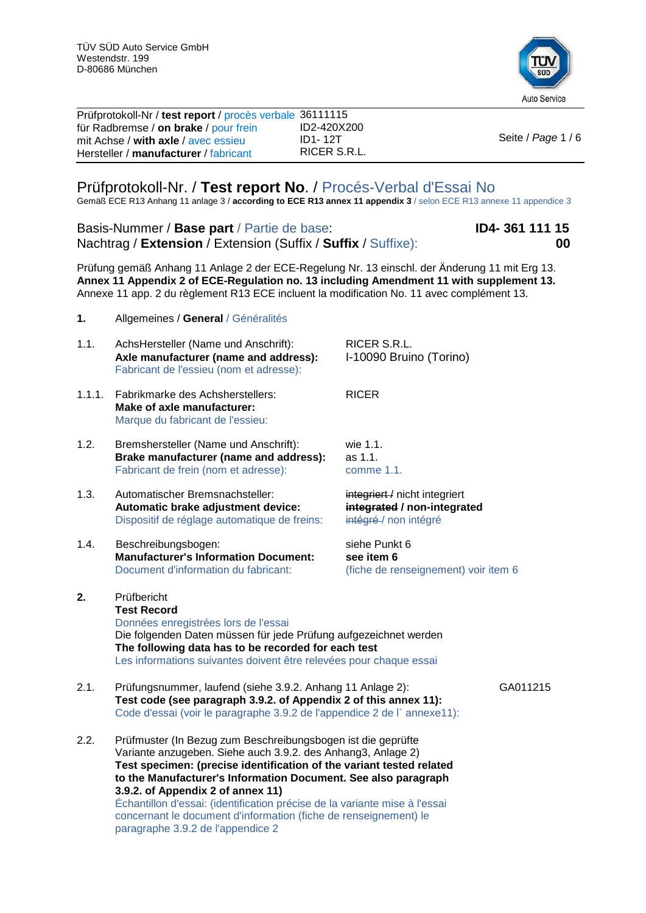

| Prüfprotokoll-Nr / test report / procès verbale 36111115 |              |                    |
|----------------------------------------------------------|--------------|--------------------|
| für Radbremse / on brake / pour frein                    | ID2-420X200  |                    |
| mit Achse / with axle / avec essieu                      | ID1-12T      | Seite / Page 1 / 6 |
| Hersteller / manufacturer / fabricant                    | RICER S.R.L. |                    |
|                                                          |              |                    |

## Prüfprotokoll-Nr. / **Test report No**. / Procés-Verbal d'Essai No

Gemäß ECE R13 Anhang 11 anlage 3 / **according to ECE R13 annex 11 appendix 3** / selon ECE R13 annexe 11 appendice 3

Basis-Nummer / **Base part** / Partie de base: **ID4- 361 111 15** Nachtrag / **Extension** / Extension (Suffix / **Suffix** / Suffixe): **00**

Prüfung gemäß Anhang 11 Anlage 2 der ECE-Regelung Nr. 13 einschl. der Änderung 11 mit Erg 13. **Annex 11 Appendix 2 of ECE-Regulation no. 13 including Amendment 11 with supplement 13.** Annexe 11 app. 2 du règlement R13 ECE incluent la modification No. 11 avec complément 13.

- **1.** Allgemeines / **General** / Généralités
- 1.1. AchsHersteller (Name und Anschrift): RICER S.R.L.<br> **Axle manufacturer (name and address):** I-10090 Bruino (Torino) Axle manufacturer (name and address): Fabricant de l'essieu (nom et adresse): 1.1.1. Fabrikmarke des Achsherstellers: RICER **Make of axle manufacturer:** Marque du fabricant de l'essieu: 1.2. Bremshersteller (Name und Anschrift): wie 1.1.<br>**Brake manufacturer (name and address):** as 1.1. **Brake manufacturer (name and address):** as 1.1.<br>Fabricant de frein (nom et adresse): comme 1.1. Fabricant de frein (nom et adresse): 1.3. Automatischer Bremsnachsteller: integriert / nicht integriert **Automatic brake adjustment device:** integrated / non-integrated Dispositif de réglage automatique de freins: intégré-/ non intégré Dispositif de réglage automatique de freins: 1.4. Beschreibungsbogen: siehe Punkt 6<br> **Manufacturer's Information Document:** see item 6 **Manufacturer's Information Document:**<br>Document d'information du fabricant: (fiche de renseignement) voir item 6 **2.** Prüfbericht **Test Record** Données enregistrées lors de l'essai Die folgenden Daten müssen für jede Prüfung aufgezeichnet werden **The following data has to be recorded for each test** Les informations suivantes doivent être relevées pour chaque essai 2.1. Prüfungsnummer, laufend (siehe 3.9.2. Anhang 11 Anlage 2): GA011215 **Test code (see paragraph 3.9.2. of Appendix 2 of this annex 11):** Code d'essai (voir le paragraphe 3.9.2 de l'appendice 2 de l` annexe11): 2.2. Prüfmuster (In Bezug zum Beschreibungsbogen ist die geprüfte Variante anzugeben. Siehe auch 3.9.2. des Anhang3, Anlage 2) **Test specimen: (precise identification of the variant tested related to the Manufacturer's Information Document. See also paragraph 3.9.2. of Appendix 2 of annex 11)** Échantillon d'essai: (identification précise de la variante mise à l'essai concernant le document d'information (fiche de renseignement) le

paragraphe 3.9.2 de l'appendice 2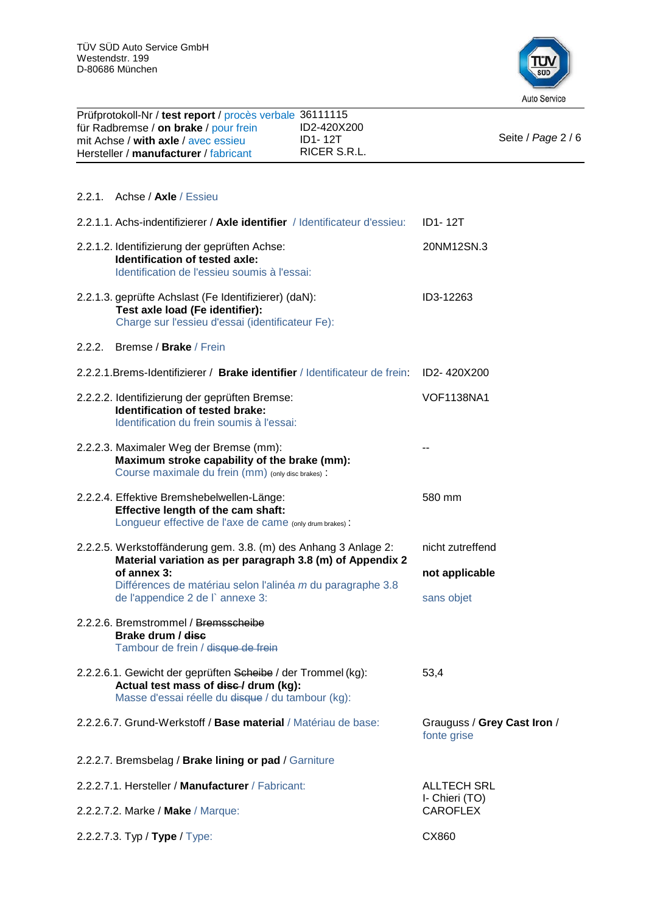

| Prüfprotokoll-Nr / test report / procès verbale 36111115<br>für Radbremse / on brake / pour frein<br>mit Achse / with axle / avec essieu<br>Hersteller / manufacturer / fabricant | ID2-420X200<br><b>ID1-12T</b><br>RICER S.R.L.                               | Seite / Page 2 / 6                         |
|-----------------------------------------------------------------------------------------------------------------------------------------------------------------------------------|-----------------------------------------------------------------------------|--------------------------------------------|
| 2.2.1. Achse / Axle / Essieu                                                                                                                                                      |                                                                             |                                            |
|                                                                                                                                                                                   | 2.2.1.1. Achs-indentifizierer / Axle identifier / Identificateur d'essieu:  | <b>ID1-12T</b>                             |
| 2.2.1.2. Identifizierung der geprüften Achse:<br>Identification of tested axle:<br>Identification de l'essieu soumis à l'essai:                                                   |                                                                             | 20NM12SN.3                                 |
| 2.2.1.3. geprüfte Achslast (Fe Identifizierer) (daN):<br>Test axle load (Fe identifier):<br>Charge sur l'essieu d'essai (identificateur Fe):                                      |                                                                             | ID3-12263                                  |
| 2.2.2.<br>Bremse / Brake / Frein                                                                                                                                                  |                                                                             |                                            |
|                                                                                                                                                                                   | 2.2.2.1. Brems-Identifizierer / Brake identifier / Identificateur de frein: | ID2-420X200                                |
| 2.2.2.2. Identifizierung der geprüften Bremse:<br>Identification of tested brake:<br>Identification du frein soumis à l'essai:                                                    |                                                                             | <b>VOF1138NA1</b>                          |
| 2.2.2.3. Maximaler Weg der Bremse (mm):<br>Maximum stroke capability of the brake (mm):<br>Course maximale du frein (mm) (only disc brakes) :                                     |                                                                             |                                            |
| 2.2.2.4. Effektive Bremshebelwellen-Länge:<br>Effective length of the cam shaft:<br>Longueur effective de l'axe de came (only drum brakes) :                                      |                                                                             | 580 mm                                     |
| 2.2.2.5. Werkstoffänderung gem. 3.8. (m) des Anhang 3 Anlage 2:                                                                                                                   |                                                                             | nicht zutreffend                           |
| of annex 3:                                                                                                                                                                       | Material variation as per paragraph 3.8 (m) of Appendix 2                   | not applicable                             |
| de l'appendice 2 de l` annexe 3:                                                                                                                                                  | Différences de matériau selon l'alinéa m du paragraphe 3.8                  | sans objet                                 |
| 2.2.2.6. Bremstrommel / Bremsscheibe<br>Brake drum / disc<br>Tambour de frein / disque de frein                                                                                   |                                                                             |                                            |
| 2.2.2.6.1. Gewicht der geprüften Scheibe / der Trommel (kg):<br>Actual test mass of disc-/ drum (kg):<br>Masse d'essai réelle du disque / du tambour (kg):                        |                                                                             | 53,4                                       |
| 2.2.2.6.7. Grund-Werkstoff / Base material / Matériau de base:                                                                                                                    |                                                                             | Grauguss / Grey Cast Iron /<br>fonte grise |
| 2.2.2.7. Bremsbelag / Brake lining or pad / Garniture                                                                                                                             |                                                                             |                                            |
| 2.2.2.7.1. Hersteller / Manufacturer / Fabricant:                                                                                                                                 |                                                                             | <b>ALLTECH SRL</b>                         |
| 2.2.2.7.2. Marke / Make / Marque:                                                                                                                                                 |                                                                             | I- Chieri (TO)<br><b>CAROFLEX</b>          |
| 2.2.2.7.3. Typ / Type / Type:                                                                                                                                                     |                                                                             | CX860                                      |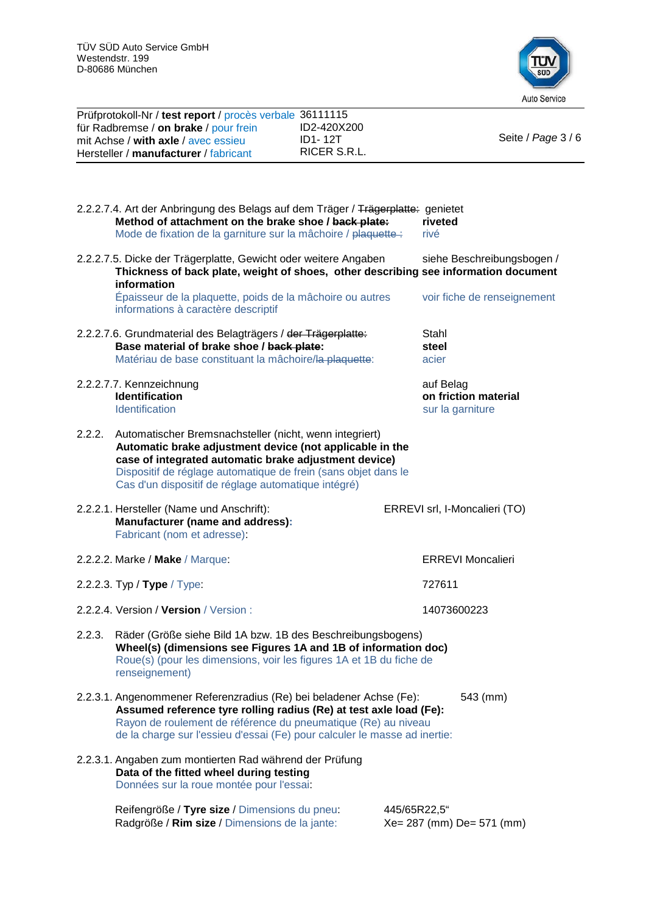Prüfprotokoll-Nr / **test report** / procès verbale 36111115



|        | für Radbremse / on brake / pour frein<br>mit Achse / with axle / avec essieu<br>Hersteller / manufacturer / fabricant                                                                                                                                                                                 | ID2-420X200<br><b>ID1-12T</b><br>RICER S.R.L. | Seite / Page 3 / 6                                    |
|--------|-------------------------------------------------------------------------------------------------------------------------------------------------------------------------------------------------------------------------------------------------------------------------------------------------------|-----------------------------------------------|-------------------------------------------------------|
|        |                                                                                                                                                                                                                                                                                                       |                                               |                                                       |
|        | 2.2.2.7.4. Art der Anbringung des Belags auf dem Träger / Trägerplatte: genietet<br>Method of attachment on the brake shoe / back plate:<br>Mode de fixation de la garniture sur la mâchoire / plaquette :                                                                                            |                                               | riveted<br>rivé                                       |
|        | 2.2.2.7.5. Dicke der Trägerplatte, Gewicht oder weitere Angaben<br>Thickness of back plate, weight of shoes, other describing see information document<br>information                                                                                                                                 |                                               | siehe Beschreibungsbogen /                            |
|        | Épaisseur de la plaquette, poids de la mâchoire ou autres<br>informations à caractère descriptif                                                                                                                                                                                                      |                                               | voir fiche de renseignement                           |
|        | 2.2.2.7.6. Grundmaterial des Belagträgers / der Trägerplatte:<br>Base material of brake shoe / back plate:<br>Matériau de base constituant la mâchoire/la plaquette:                                                                                                                                  |                                               | Stahl<br>steel<br>acier                               |
|        | 2.2.2.7.7. Kennzeichnung<br><b>Identification</b><br>Identification                                                                                                                                                                                                                                   |                                               | auf Belag<br>on friction material<br>sur la garniture |
| 2.2.2. | Automatischer Bremsnachsteller (nicht, wenn integriert)<br>Automatic brake adjustment device (not applicable in the<br>case of integrated automatic brake adjustment device)<br>Dispositif de réglage automatique de frein (sans objet dans le<br>Cas d'un dispositif de réglage automatique intégré) |                                               |                                                       |
|        | 2.2.2.1. Hersteller (Name und Anschrift):<br><b>Manufacturer (name and address):</b><br>Fabricant (nom et adresse):                                                                                                                                                                                   |                                               | ERREVI srl, I-Moncalieri (TO)                         |
|        | 2.2.2.2. Marke / Make / Marque:                                                                                                                                                                                                                                                                       |                                               | <b>ERREVI Moncalieri</b>                              |
|        | 2.2.2.3. Typ / Type / Type:                                                                                                                                                                                                                                                                           |                                               | 727611                                                |
|        | 2.2.2.4. Version / Version / Version :                                                                                                                                                                                                                                                                |                                               | 14073600223                                           |
| 2.2.3. | Räder (Größe siehe Bild 1A bzw. 1B des Beschreibungsbogens)<br>Wheel(s) (dimensions see Figures 1A and 1B of information doc)<br>Roue(s) (pour les dimensions, voir les figures 1A et 1B du fiche de<br>renseignement)                                                                                |                                               |                                                       |
|        | 2.2.3.1. Angenommener Referenzradius (Re) bei beladener Achse (Fe):<br>Assumed reference tyre rolling radius (Re) at test axle load (Fe):<br>Rayon de roulement de référence du pneumatique (Re) au niveau<br>de la charge sur l'essieu d'essai (Fe) pour calculer le masse ad inertie:               |                                               | 543 (mm)                                              |
|        | 2.2.3.1. Angaben zum montierten Rad während der Prüfung<br>Data of the fitted wheel during testing<br>Données sur la roue montée pour l'essai:                                                                                                                                                        |                                               |                                                       |
|        | Reifengröße / Tyre size / Dimensions du pneu:<br>Radgröße / Rim size / Dimensions de la jante:                                                                                                                                                                                                        |                                               | 445/65R22,5"<br>Xe= 287 (mm) De= 571 (mm)             |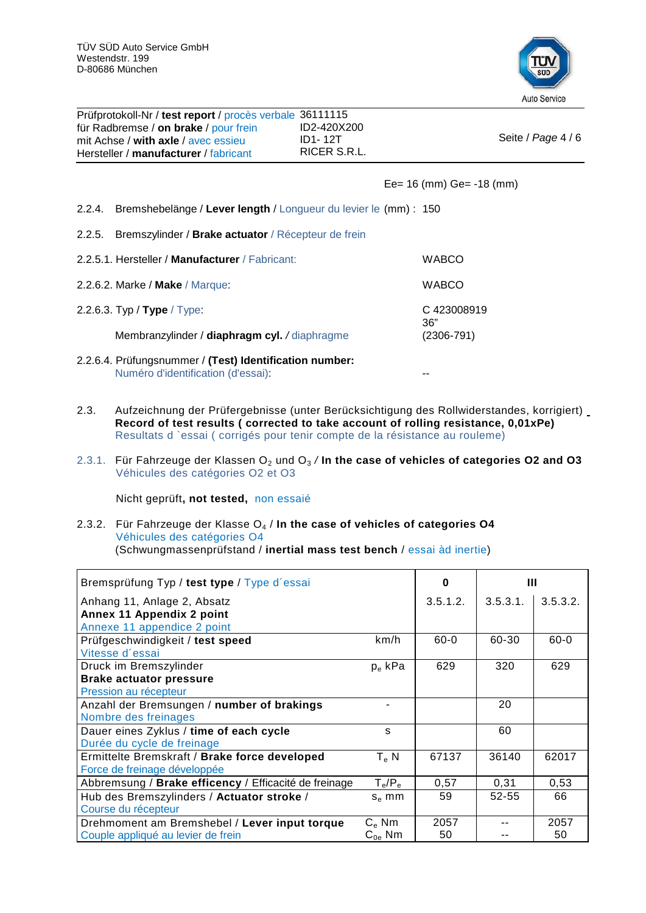

| Prüfprotokoll-Nr / test report / procès verbale 36111115<br>für Radbremse / on brake / pour frein<br>mit Achse / with axle / avec essieu<br>Hersteller / manufacturer / fabricant | ID2-420X200<br>ID1-12T<br>RICER S.R.L. | Seite / Page 4 / 6                               |
|-----------------------------------------------------------------------------------------------------------------------------------------------------------------------------------|----------------------------------------|--------------------------------------------------|
|                                                                                                                                                                                   |                                        | Ee= $16 \, \text{(mm)}$ Ge= $-18 \, \text{(mm)}$ |

2.2.4. Bremshebelänge / **Lever length** / Longueur du levier le (mm) : 150

2.2.5. Bremszylinder / **Brake actuator** / Récepteur de frein

| 2.2.5.1. Hersteller / Manufacturer / Fabricant: | <b>WABCO</b>      |
|-------------------------------------------------|-------------------|
| 2.2.6.2. Marke / Make / Marque:                 | <b>WABCO</b>      |
| 2.2.6.3. Typ / Type / Type:                     | C423008919<br>36" |
| Membranzylinder / diaphragm cyl. / diaphragme   | $(2306 - 791)$    |
|                                                 |                   |

- 2.2.6.4. Prüfungsnummer / **(Test) Identification number:** Numéro d'identification (d'essai): --
- 2.3. Aufzeichnung der Prüfergebnisse (unter Berücksichtigung des Rollwiderstandes, korrigiert) **Record of test results ( corrected to take account of rolling resistance, 0,01xPe)**  Resultats d `essai ( corrigés pour tenir compte de la résistance au rouleme)
- 2.3.1. Für Fahrzeuge der Klassen O<sub>2</sub> und O<sub>3</sub> / In the case of vehicles of categories O2 and O3 Véhicules des catégories O2 et O3

Nicht geprüft**, not tested,** non essaié

2.3.2. Für Fahrzeuge der Klasse O4 / **In the case of vehicles of categories O4** Véhicules des catégories O4 (Schwungmassenprüfstand / **inertial mass test bench** / essai àd inertie)

| Bremsprüfung Typ / test type / Type d'essai           |                | O        | Ш           |          |
|-------------------------------------------------------|----------------|----------|-------------|----------|
| Anhang 11, Anlage 2, Absatz                           |                | 3.5.1.2. | $3.5.3.1$ . | 3.5.3.2. |
| Annex 11 Appendix 2 point                             |                |          |             |          |
| Annexe 11 appendice 2 point                           |                |          |             |          |
| Prüfgeschwindigkeit / test speed                      | km/h           | $60 - 0$ | 60-30       | $60 - 0$ |
| Vitesse d'essai                                       |                |          |             |          |
| Druck im Bremszylinder                                | $p_e$ kPa      | 629      | 320         | 629      |
| <b>Brake actuator pressure</b>                        |                |          |             |          |
| Pression au récepteur                                 |                |          |             |          |
| Anzahl der Bremsungen / number of brakings            |                |          | 20          |          |
| Nombre des freinages                                  |                |          |             |          |
| Dauer eines Zyklus / time of each cycle               | s              |          | 60          |          |
| Durée du cycle de freinage                            |                |          |             |          |
| Ermittelte Bremskraft / Brake force developed         | $T_e$ N        | 67137    | 36140       | 62017    |
| Force de freinage développée                          |                |          |             |          |
| Abbremsung / Brake efficency / Efficacité de freinage | $T_e/P_e$      | 0,57     | 0,31        | 0,53     |
| Hub des Bremszylinders / Actuator stroke /            | $S_e$ mm       | 59       | $52 - 55$   | 66       |
| Course du récepteur                                   |                |          |             |          |
| Drehmoment am Bremshebel / Lever input torque         | $C_{\rm e}$ Nm | 2057     |             | 2057     |
| Couple appliqué au levier de frein                    | $C_{0e}$ Nm    | 50       |             | 50       |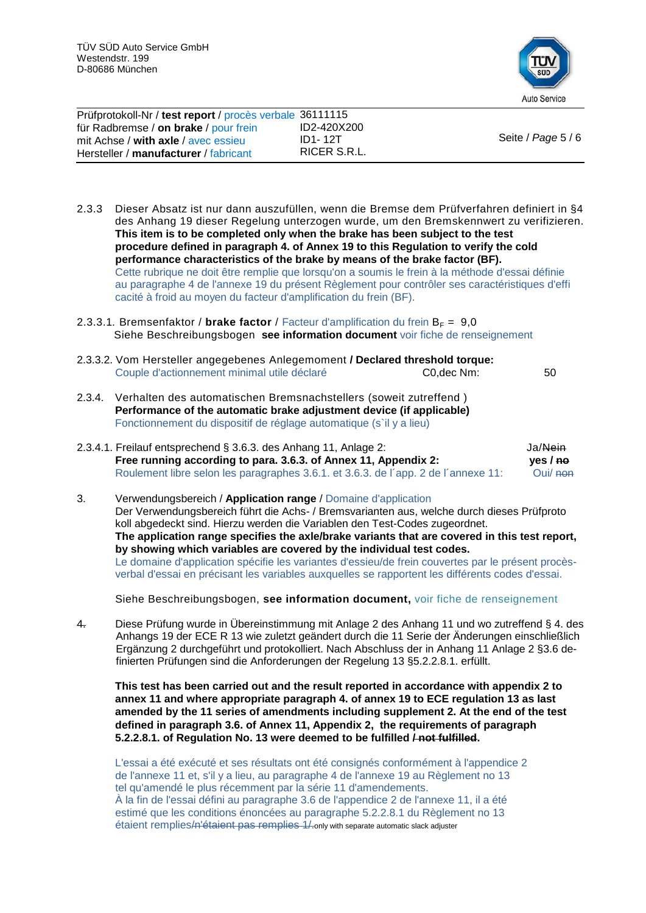

| Prüfprotokoll-Nr / test report / procès verbale 36111115<br>für Radbremse / on brake / pour frein | ID2-420X200             |                    |
|---------------------------------------------------------------------------------------------------|-------------------------|--------------------|
| mit Achse / with axle / avec essieu<br>Hersteller / manufacturer / fabricant                      | ID1-12T<br>RICER S.R.L. | Seite / Page 5 / 6 |

- 2.3.3 Dieser Absatz ist nur dann auszufüllen, wenn die Bremse dem Prüfverfahren definiert in §4 des Anhang 19 dieser Regelung unterzogen wurde, um den Bremskennwert zu verifizieren. **This item is to be completed only when the brake has been subject to the test procedure defined in paragraph 4. of Annex 19 to this Regulation to verify the cold performance characteristics of the brake by means of the brake factor (BF).** Cette rubrique ne doit être remplie que lorsqu'on a soumis le frein à la méthode d'essai définie au paragraphe 4 de l'annexe 19 du présent Règlement pour contrôler ses caractéristiques d'effi cacité à froid au moyen du facteur d'amplification du frein (BF).
- 2.3.3.1. Bremsenfaktor / brake factor / Facteur d'amplification du frein  $B_F = 9.0$ Siehe Beschreibungsbogen **see information document** voir fiche de renseignement
- 2.3.3.2. Vom Hersteller angegebenes Anlegemoment **/ Declared threshold torque:** Couple d'actionnement minimal utile déclaré C0,dec Nm: 50
- 2.3.4. Verhalten des automatischen Bremsnachstellers (soweit zutreffend ) **Performance of the automatic brake adjustment device (if applicable)** Fonctionnement du dispositif de réglage automatique (s`il y a lieu)
- 2.3.4.1. Freilauf entsprechend § 3.6.3. des Anhang 11, Anlage 2: Ja/Nein<br>Free running according to para. 3.6.3. of Annex 11, Appendix 2: ves / ne **Free running according to para. 3.6.3. of Annex 11, Appendix 2: yes / no**<br>Roulement libre selon les paragraphes 3.6.1. et 3.6.3. de l'app. 2 de l'annexe 11: Oui/ non Roulement libre selon les paragraphes 3.6.1. et 3.6.3. de l'app. 2 de l'annexe 11:
- 3. Verwendungsbereich / **Application range** / Domaine d'application Der Verwendungsbereich führt die Achs- / Bremsvarianten aus, welche durch dieses Prüfproto koll abgedeckt sind. Hierzu werden die Variablen den Test-Codes zugeordnet. **The application range specifies the axle/brake variants that are covered in this test report, by showing which variables are covered by the individual test codes.** Le domaine d'application spécifie les variantes d'essieu/de frein couvertes par le présent procèsverbal d'essai en précisant les variables auxquelles se rapportent les différents codes d'essai.

Siehe Beschreibungsbogen, **see information document,** voir fiche de renseignement

4. Diese Prüfung wurde in Übereinstimmung mit Anlage 2 des Anhang 11 und wo zutreffend § 4. des Anhangs 19 der ECE R 13 wie zuletzt geändert durch die 11 Serie der Änderungen einschließlich Ergänzung 2 durchgeführt und protokolliert. Nach Abschluss der in Anhang 11 Anlage 2 §3.6 definierten Prüfungen sind die Anforderungen der Regelung 13 §5.2.2.8.1. erfüllt.

**This test has been carried out and the result reported in accordance with appendix 2 to annex 11 and where appropriate paragraph 4. of annex 19 to ECE regulation 13 as last amended by the 11 series of amendments including supplement 2. At the end of the test defined in paragraph 3.6. of Annex 11, Appendix 2, the requirements of paragraph 5.2.2.8.1. of Regulation No. 13 were deemed to be fulfilled / not fulfilled.**

L'essai a été exécuté et ses résultats ont été consignés conformément à l'appendice 2 de l'annexe 11 et, s'il y a lieu, au paragraphe 4 de l'annexe 19 au Règlement no 13 tel qu'amendé le plus récemment par la série 11 d'amendements. À la fin de l'essai défini au paragraphe 3.6 de l'appendice 2 de l'annexe 11, il a été estimé que les conditions énoncées au paragraphe 5.2.2.8.1 du Règlement no 13 étaient remplies/n'étaient pas remplies 1/.only with separate automatic slack adjuster